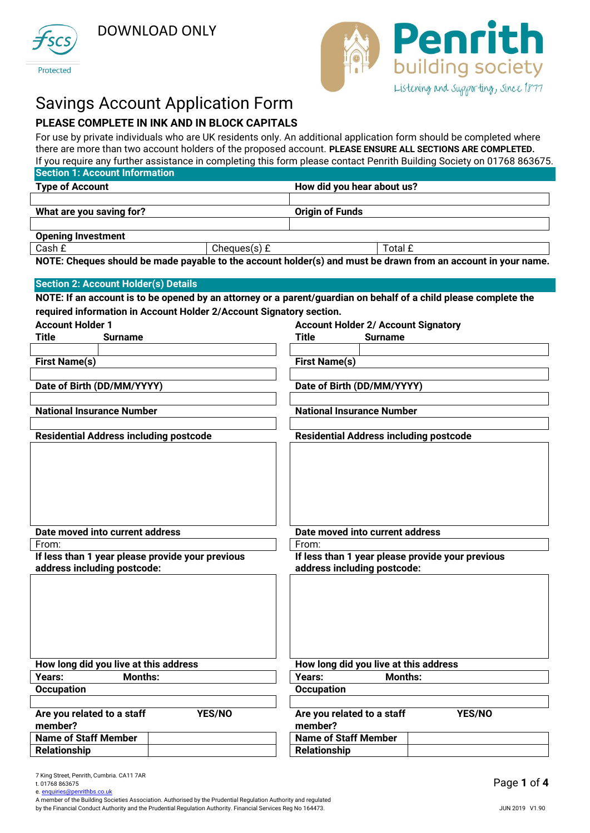





# Savings Account Application Form

# **PLEASE COMPLETE IN INK AND IN BLOCK CAPITALS**

For use by private individuals who are UK residents only. An additional application form should be completed where there are more than two account holders of the proposed account. **PLEASE ENSURE ALL SECTIONS ARE COMPLETED.** If you require any further assistance in completing this form please contact Penrith Building Society on 01768 863675.

|                                  |                                                                     |               |                                               |                | n you require any railing abolitance in completing this ronn picase contact remain banang occity on on 700 00007 |
|----------------------------------|---------------------------------------------------------------------|---------------|-----------------------------------------------|----------------|------------------------------------------------------------------------------------------------------------------|
|                                  | <b>Section 1: Account Information</b>                               |               |                                               |                |                                                                                                                  |
| <b>Type of Account</b>           |                                                                     |               | How did you hear about us?                    |                |                                                                                                                  |
|                                  |                                                                     |               |                                               |                |                                                                                                                  |
| What are you saving for?         |                                                                     |               | <b>Origin of Funds</b>                        |                |                                                                                                                  |
|                                  |                                                                     |               |                                               |                |                                                                                                                  |
| <b>Opening Investment</b>        |                                                                     |               |                                               |                |                                                                                                                  |
| Cash £                           |                                                                     | Cheques(s) £  |                                               | Total £        |                                                                                                                  |
|                                  |                                                                     |               |                                               |                | NOTE: Cheques should be made payable to the account holder(s) and must be drawn from an account in your name.    |
|                                  |                                                                     |               |                                               |                |                                                                                                                  |
|                                  | <b>Section 2: Account Holder(s) Details</b>                         |               |                                               |                |                                                                                                                  |
|                                  |                                                                     |               |                                               |                | NOTE: If an account is to be opened by an attorney or a parent/guardian on behalf of a child please complete the |
|                                  |                                                                     |               |                                               |                |                                                                                                                  |
|                                  | required information in Account Holder 2/Account Signatory section. |               |                                               |                |                                                                                                                  |
| <b>Account Holder 1</b>          |                                                                     |               | <b>Account Holder 2/ Account Signatory</b>    |                |                                                                                                                  |
| Title                            | <b>Surname</b>                                                      |               | Title                                         | <b>Surname</b> |                                                                                                                  |
|                                  |                                                                     |               |                                               |                |                                                                                                                  |
| <b>First Name(s)</b>             |                                                                     |               | <b>First Name(s)</b>                          |                |                                                                                                                  |
|                                  |                                                                     |               |                                               |                |                                                                                                                  |
| Date of Birth (DD/MM/YYYY)       |                                                                     |               | Date of Birth (DD/MM/YYYY)                    |                |                                                                                                                  |
|                                  |                                                                     |               |                                               |                |                                                                                                                  |
| <b>National Insurance Number</b> |                                                                     |               | <b>National Insurance Number</b>              |                |                                                                                                                  |
|                                  |                                                                     |               |                                               |                |                                                                                                                  |
|                                  | <b>Residential Address including postcode</b>                       |               | <b>Residential Address including postcode</b> |                |                                                                                                                  |
|                                  |                                                                     |               |                                               |                |                                                                                                                  |
|                                  |                                                                     |               |                                               |                |                                                                                                                  |
|                                  |                                                                     |               |                                               |                |                                                                                                                  |
|                                  |                                                                     |               |                                               |                |                                                                                                                  |
|                                  |                                                                     |               |                                               |                |                                                                                                                  |
|                                  |                                                                     |               |                                               |                |                                                                                                                  |
|                                  |                                                                     |               |                                               |                |                                                                                                                  |
|                                  | Date moved into current address                                     |               | Date moved into current address               |                |                                                                                                                  |
| From:                            |                                                                     |               | From:                                         |                |                                                                                                                  |
|                                  | If less than 1 year please provide your previous                    |               |                                               |                | If less than 1 year please provide your previous                                                                 |
| address including postcode:      |                                                                     |               | address including postcode:                   |                |                                                                                                                  |
|                                  |                                                                     |               |                                               |                |                                                                                                                  |
|                                  |                                                                     |               |                                               |                |                                                                                                                  |
|                                  |                                                                     |               |                                               |                |                                                                                                                  |
|                                  |                                                                     |               |                                               |                |                                                                                                                  |
|                                  |                                                                     |               |                                               |                |                                                                                                                  |
|                                  |                                                                     |               |                                               |                |                                                                                                                  |
|                                  |                                                                     |               |                                               |                |                                                                                                                  |
|                                  |                                                                     |               |                                               |                |                                                                                                                  |
|                                  | How long did you live at this address                               |               | How long did you live at this address         |                |                                                                                                                  |
| Years:                           | Months:                                                             |               | Years:                                        | <b>Months:</b> |                                                                                                                  |
| <b>Occupation</b>                |                                                                     |               | <b>Occupation</b>                             |                |                                                                                                                  |
|                                  |                                                                     |               |                                               |                |                                                                                                                  |
| Are you related to a staff       |                                                                     | <b>YES/NO</b> | Are you related to a staff                    |                | <b>YES/NO</b>                                                                                                    |
| member?                          |                                                                     |               | member?                                       |                |                                                                                                                  |
| <b>Name of Staff Member</b>      |                                                                     |               | <b>Name of Staff Member</b>                   |                |                                                                                                                  |

A member of the Building Societies Association. Authorised by the Prudential Regulation Authority and regulated by the Financial Conduct Authority and the Prudential Regulation Authority. Financial Services Reg No 164473.

**Relationship Relationship Relationship**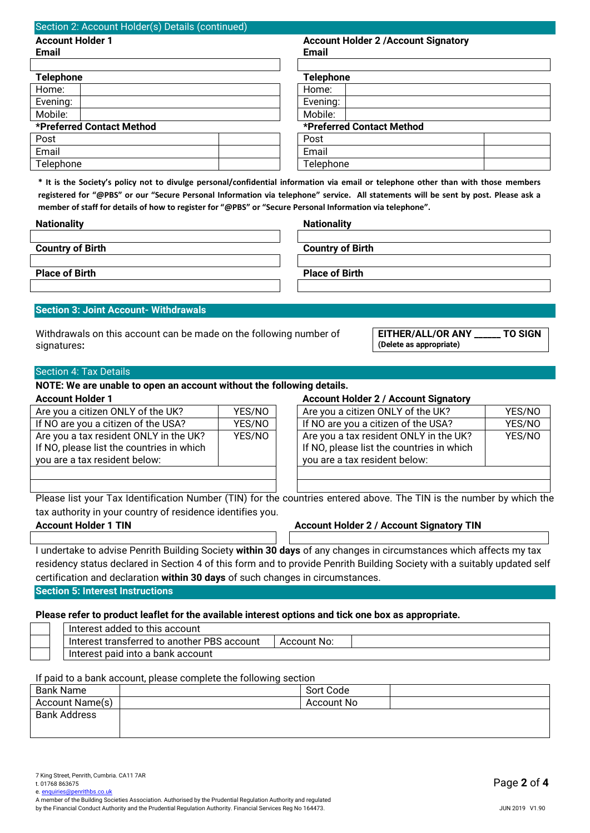| <b>Account Holder 1</b>                                                                                                                                                                                                                                                                                                                                                                                                                                                    |        | <b>Account Holder 2 / Account Signatory</b>                                                                                                                                                                                                                                                     |        |
|----------------------------------------------------------------------------------------------------------------------------------------------------------------------------------------------------------------------------------------------------------------------------------------------------------------------------------------------------------------------------------------------------------------------------------------------------------------------------|--------|-------------------------------------------------------------------------------------------------------------------------------------------------------------------------------------------------------------------------------------------------------------------------------------------------|--------|
| <b>Email</b>                                                                                                                                                                                                                                                                                                                                                                                                                                                               |        | <b>Email</b>                                                                                                                                                                                                                                                                                    |        |
| <b>Telephone</b>                                                                                                                                                                                                                                                                                                                                                                                                                                                           |        | <b>Telephone</b>                                                                                                                                                                                                                                                                                |        |
| Home:                                                                                                                                                                                                                                                                                                                                                                                                                                                                      |        | Home:                                                                                                                                                                                                                                                                                           |        |
| Evening:                                                                                                                                                                                                                                                                                                                                                                                                                                                                   |        | Evening:                                                                                                                                                                                                                                                                                        |        |
| Mobile:                                                                                                                                                                                                                                                                                                                                                                                                                                                                    |        | Mobile:                                                                                                                                                                                                                                                                                         |        |
| *Preferred Contact Method                                                                                                                                                                                                                                                                                                                                                                                                                                                  |        | *Preferred Contact Method                                                                                                                                                                                                                                                                       |        |
| Post                                                                                                                                                                                                                                                                                                                                                                                                                                                                       |        | Post                                                                                                                                                                                                                                                                                            |        |
| Email                                                                                                                                                                                                                                                                                                                                                                                                                                                                      |        | Email                                                                                                                                                                                                                                                                                           |        |
| Telephone                                                                                                                                                                                                                                                                                                                                                                                                                                                                  |        | Telephone                                                                                                                                                                                                                                                                                       |        |
| member of staff for details of how to register for "@PBS" or "Secure Personal Information via telephone".<br><b>Nationality</b>                                                                                                                                                                                                                                                                                                                                            |        | * It is the Society's policy not to divulge personal/confidential information via email or telephone other than with those members<br>registered for "@PBS" or our "Secure Personal Information via telephone" service. All statements will be sent by post. Please ask a<br><b>Nationality</b> |        |
|                                                                                                                                                                                                                                                                                                                                                                                                                                                                            |        |                                                                                                                                                                                                                                                                                                 |        |
| <b>Country of Birth</b>                                                                                                                                                                                                                                                                                                                                                                                                                                                    |        | <b>Country of Birth</b>                                                                                                                                                                                                                                                                         |        |
| <b>Place of Birth</b>                                                                                                                                                                                                                                                                                                                                                                                                                                                      |        | <b>Place of Birth</b>                                                                                                                                                                                                                                                                           |        |
|                                                                                                                                                                                                                                                                                                                                                                                                                                                                            |        |                                                                                                                                                                                                                                                                                                 |        |
|                                                                                                                                                                                                                                                                                                                                                                                                                                                                            |        |                                                                                                                                                                                                                                                                                                 |        |
|                                                                                                                                                                                                                                                                                                                                                                                                                                                                            |        | EITHER/ALL/OR ANY ______ TO SIGN<br>(Delete as appropriate)                                                                                                                                                                                                                                     |        |
|                                                                                                                                                                                                                                                                                                                                                                                                                                                                            |        |                                                                                                                                                                                                                                                                                                 |        |
|                                                                                                                                                                                                                                                                                                                                                                                                                                                                            |        |                                                                                                                                                                                                                                                                                                 |        |
|                                                                                                                                                                                                                                                                                                                                                                                                                                                                            |        | <b>Account Holder 2 / Account Signatory</b>                                                                                                                                                                                                                                                     |        |
|                                                                                                                                                                                                                                                                                                                                                                                                                                                                            | YES/NO | Are you a citizen ONLY of the UK?                                                                                                                                                                                                                                                               | YES/NO |
|                                                                                                                                                                                                                                                                                                                                                                                                                                                                            | YES/NO | If NO are you a citizen of the USA?                                                                                                                                                                                                                                                             | YES/NO |
|                                                                                                                                                                                                                                                                                                                                                                                                                                                                            | YES/NO | Are you a tax resident ONLY in the UK?                                                                                                                                                                                                                                                          | YES/NO |
|                                                                                                                                                                                                                                                                                                                                                                                                                                                                            |        | If NO, please list the countries in which<br>you are a tax resident below:                                                                                                                                                                                                                      |        |
| <b>Section 3: Joint Account- Withdrawals</b><br>Withdrawals on this account can be made on the following number of<br>signatures:<br><b>Section 4: Tax Details</b><br>NOTE: We are unable to open an account without the following details.<br><b>Account Holder 1</b><br>Are you a citizen ONLY of the UK?<br>If NO are you a citizen of the USA?<br>Are you a tax resident ONLY in the UK?<br>If NO, please list the countries in which<br>you are a tax resident below: |        |                                                                                                                                                                                                                                                                                                 |        |
|                                                                                                                                                                                                                                                                                                                                                                                                                                                                            |        | Please list your Tax Identification Number (TIN) for the countries entered above. The TIN is the number by which the                                                                                                                                                                            |        |
|                                                                                                                                                                                                                                                                                                                                                                                                                                                                            |        | <b>Account Holder 2 / Account Signatory TIN</b>                                                                                                                                                                                                                                                 |        |
|                                                                                                                                                                                                                                                                                                                                                                                                                                                                            |        |                                                                                                                                                                                                                                                                                                 |        |
|                                                                                                                                                                                                                                                                                                                                                                                                                                                                            |        | I undertake to advise Penrith Building Society within 30 days of any changes in circumstances which affects my tax                                                                                                                                                                              |        |
|                                                                                                                                                                                                                                                                                                                                                                                                                                                                            |        | residency status declared in Section 4 of this form and to provide Penrith Building Society with a suitably updated self                                                                                                                                                                        |        |
|                                                                                                                                                                                                                                                                                                                                                                                                                                                                            |        |                                                                                                                                                                                                                                                                                                 |        |
|                                                                                                                                                                                                                                                                                                                                                                                                                                                                            |        |                                                                                                                                                                                                                                                                                                 |        |
|                                                                                                                                                                                                                                                                                                                                                                                                                                                                            |        |                                                                                                                                                                                                                                                                                                 |        |
| tax authority in your country of residence identifies you.<br><b>Account Holder 1 TIN</b><br>certification and declaration within 30 days of such changes in circumstances.<br><b>Section 5: Interest Instructions</b><br>Please refer to product leaflet for the available interest options and tick one box as appropriate.<br>Interest added to this account                                                                                                            |        |                                                                                                                                                                                                                                                                                                 |        |
| Interest transferred to another PBS account                                                                                                                                                                                                                                                                                                                                                                                                                                |        | <b>Account No:</b>                                                                                                                                                                                                                                                                              |        |

| <b>Bank Name</b>    | Sort Code  |  |
|---------------------|------------|--|
| Account Name(s)     | Account No |  |
| <b>Bank Address</b> |            |  |
|                     |            |  |
|                     |            |  |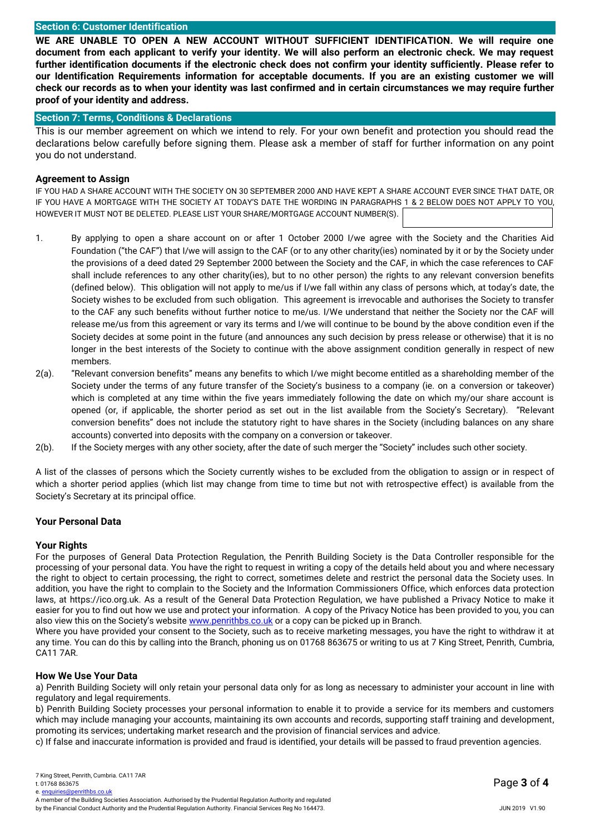#### **Section 6: Customer Identification**

**WE ARE UNABLE TO OPEN A NEW ACCOUNT WITHOUT SUFFICIENT IDENTIFICATION. We will require one document from each applicant to verify your identity. We will also perform an electronic check. We may request further identification documents if the electronic check does not confirm your identity sufficiently. Please refer to our Identification Requirements information for acceptable documents. If you are an existing customer we will check our records as to when your identity was last confirmed and in certain circumstances we may require further proof of your identity and address.**

# **Section 7: Terms, Conditions & Declarations**

This is our member agreement on which we intend to rely. For your own benefit and protection you should read the declarations below carefully before signing them. Please ask a member of staff for further information on any point you do not understand.

#### **Agreement to Assign**

IF YOU HAD A SHARE ACCOUNT WITH THE SOCIETY ON 30 SEPTEMBER 2000 AND HAVE KEPT A SHARE ACCOUNT EVER SINCE THAT DATE, OR IF YOU HAVE A MORTGAGE WITH THE SOCIETY AT TODAY'S DATE THE WORDING IN PARAGRAPHS 1 & 2 BELOW DOES NOT APPLY TO YOU, HOWEVER IT MUST NOT BE DELETED. PLEASE LIST YOUR SHARE/MORTGAGE ACCOUNT NUMBER(S).

- 1. By applying to open a share account on or after 1 October 2000 I/we agree with the Society and the Charities Aid Foundation ("the CAF") that I/we will assign to the CAF (or to any other charity(ies) nominated by it or by the Society under the provisions of a deed dated 29 September 2000 between the Society and the CAF, in which the case references to CAF shall include references to any other charity(ies), but to no other person) the rights to any relevant conversion benefits (defined below). This obligation will not apply to me/us if I/we fall within any class of persons which, at today's date, the Society wishes to be excluded from such obligation. This agreement is irrevocable and authorises the Society to transfer to the CAF any such benefits without further notice to me/us. I/We understand that neither the Society nor the CAF will release me/us from this agreement or vary its terms and I/we will continue to be bound by the above condition even if the Society decides at some point in the future (and announces any such decision by press release or otherwise) that it is no longer in the best interests of the Society to continue with the above assignment condition generally in respect of new members.
- 2(a). "Relevant conversion benefits" means any benefits to which I/we might become entitled as a shareholding member of the Society under the terms of any future transfer of the Society's business to a company (ie. on a conversion or takeover) which is completed at any time within the five years immediately following the date on which my/our share account is opened (or, if applicable, the shorter period as set out in the list available from the Society's Secretary). "Relevant conversion benefits" does not include the statutory right to have shares in the Society (including balances on any share accounts) converted into deposits with the company on a conversion or takeover.
- 2(b). If the Society merges with any other society, after the date of such merger the "Society" includes such other society.

A list of the classes of persons which the Society currently wishes to be excluded from the obligation to assign or in respect of which a shorter period applies (which list may change from time to time but not with retrospective effect) is available from the Society's Secretary at its principal office.

#### **Your Personal Data**

#### **Your Rights**

For the purposes of General Data Protection Regulation, the Penrith Building Society is the Data Controller responsible for the processing of your personal data. You have the right to request in writing a copy of the details held about you and where necessary the right to object to certain processing, the right to correct, sometimes delete and restrict the personal data the Society uses. In addition, you have the right to complain to the Society and the Information Commissioners Office, which enforces data protection laws, at https://ico.org.uk. As a result of the General Data Protection Regulation, we have published a Privacy Notice to make it easier for you to find out how we use and protect your information. A copy of the Privacy Notice has been provided to you, you can also view this on the Society's website [www.penrithbs.co.uk](http://www.penrithbs.co.uk/) or a copy can be picked up in Branch.

Where you have provided your consent to the Society, such as to receive marketing messages, you have the right to withdraw it at any time. You can do this by calling into the Branch, phoning us on 01768 863675 or writing to us at 7 King Street, Penrith, Cumbria, CA11 7AR.

### **How We Use Your Data**

a) Penrith Building Society will only retain your personal data only for as long as necessary to administer your account in line with regulatory and legal requirements.

b) Penrith Building Society processes your personal information to enable it to provide a service for its members and customers which may include managing your accounts, maintaining its own accounts and records, supporting staff training and development, promoting its services; undertaking market research and the provision of financial services and advice.

c) If false and inaccurate information is provided and fraud is identified, your details will be passed to fraud prevention agencies.

e[. enquiries@penrithbs.co.uk](mailto:enquiries@penrithbuildingsociety.co.uk)

Page **3** of **4**